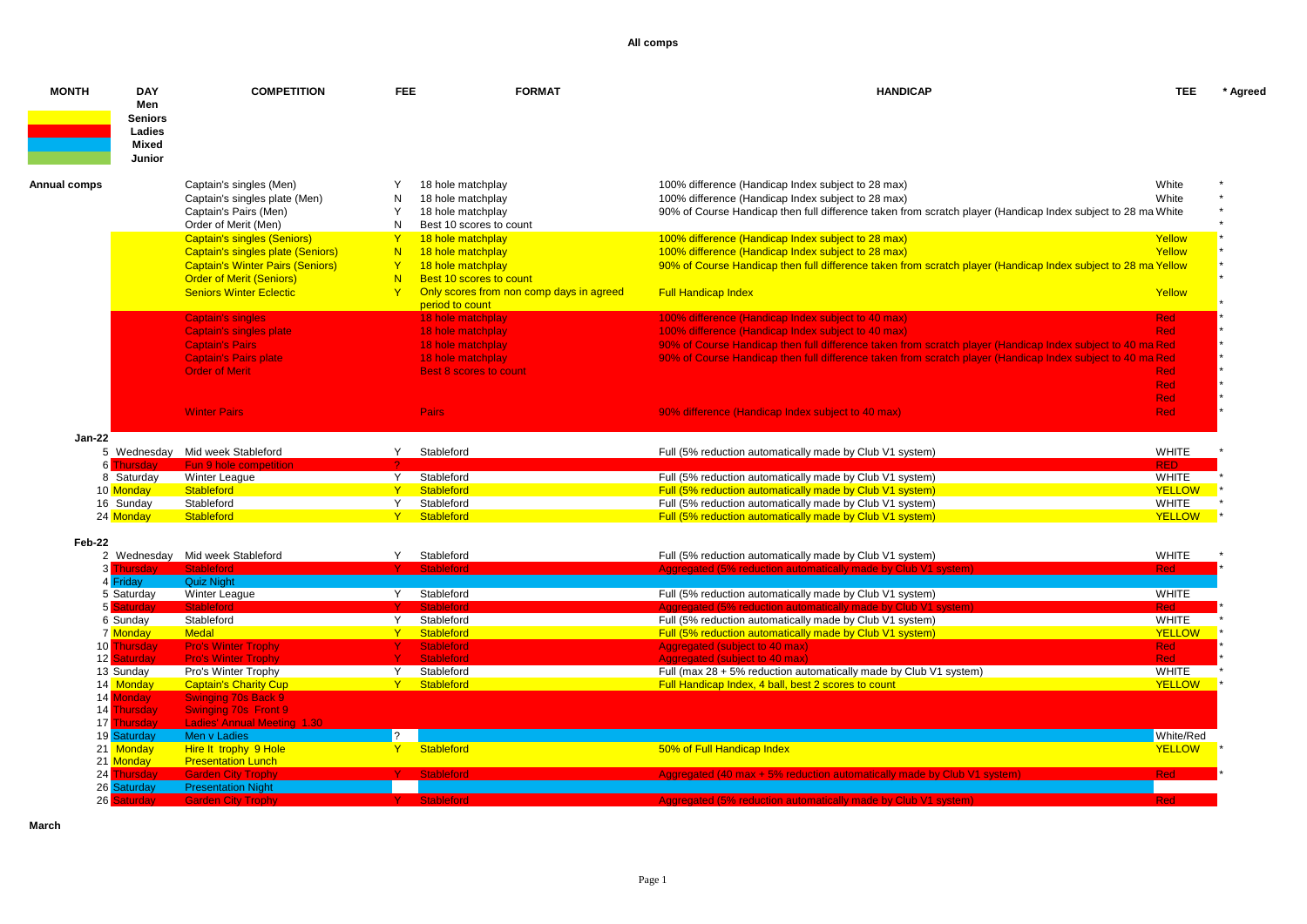| <b>MONTH</b> | <b>DAY</b><br>Men<br><b>Seniors</b><br>Ladies<br>Mixed<br>Junior | <b>COMPETITION</b>                                                         | <b>FEE</b>     | <b>FORMAT</b>                                | <b>HANDICAP</b>                                                                                                            | <b>TEE</b>           | * Agreed |
|--------------|------------------------------------------------------------------|----------------------------------------------------------------------------|----------------|----------------------------------------------|----------------------------------------------------------------------------------------------------------------------------|----------------------|----------|
| Annual comps |                                                                  | Captain's singles (Men)                                                    |                | 18 hole matchplay                            | 100% difference (Handicap Index subject to 28 max)                                                                         | White                |          |
|              |                                                                  | Captain's singles plate (Men)                                              | N              | 18 hole matchplay                            | 100% difference (Handicap Index subject to 28 max)                                                                         | White                |          |
|              |                                                                  | Captain's Pairs (Men)                                                      | Y              | 18 hole matchplay                            | 90% of Course Handicap then full difference taken from scratch player (Handicap Index subject to 28 ma White               |                      |          |
|              |                                                                  | Order of Merit (Men)                                                       | N              | Best 10 scores to count                      |                                                                                                                            |                      |          |
|              |                                                                  | <b>Captain's singles (Seniors)</b>                                         | Y              | 18 hole matchplay                            | 100% difference (Handicap Index subject to 28 max)                                                                         | Yellow               |          |
|              |                                                                  | Captain's singles plate (Seniors)                                          | N              | 18 hole matchplay                            | 100% difference (Handicap Index subject to 28 max)                                                                         | Yellow               |          |
|              |                                                                  | <b>Captain's Winter Pairs (Seniors)</b><br><b>Order of Merit (Seniors)</b> | Y<br>N.        | 18 hole matchplay<br>Best 10 scores to count | 90% of Course Handicap then full difference taken from scratch player (Handicap Index subject to 28 ma Yellow              |                      |          |
|              |                                                                  | <b>Seniors Winter Eclectic</b>                                             | Y              | Only scores from non comp days in agreed     | <b>Full Handicap Index</b>                                                                                                 | Yellow               |          |
|              |                                                                  |                                                                            |                | period to count                              |                                                                                                                            |                      |          |
|              |                                                                  | <b>Captain's singles</b>                                                   |                | 18 hole matchplay                            | 100% difference (Handicap Index subject to 40 max)                                                                         | Red                  |          |
|              |                                                                  | <b>Captain's singles plate</b>                                             |                | 18 hole matchplay                            | 100% difference (Handicap Index subject to 40 max)                                                                         | Red,                 |          |
|              |                                                                  | <b>Captain's Pairs</b>                                                     |                | 18 hole matchplay                            | 90% of Course Handicap then full difference taken from scratch player (Handicap Index subject to 40 ma Red                 |                      |          |
|              |                                                                  | <b>Captain's Pairs plate</b>                                               |                | 18 hole matchplay                            | 90% of Course Handicap then full difference taken from scratch player (Handicap Index subject to 40 ma Red                 |                      |          |
|              |                                                                  | <b>Order of Merit</b>                                                      |                | <b>Best 8 scores to count</b>                |                                                                                                                            | Red                  |          |
|              |                                                                  |                                                                            |                |                                              |                                                                                                                            | Red                  |          |
|              |                                                                  |                                                                            |                |                                              |                                                                                                                            | <b>Red</b>           |          |
|              |                                                                  | <b>Winter Pairs</b>                                                        |                | Pairs                                        | 90% difference (Handicap Index subject to 40 max)                                                                          | Red                  |          |
|              |                                                                  |                                                                            |                |                                              |                                                                                                                            |                      |          |
| Jan-22       |                                                                  | 5 Wednesday Mid week Stableford                                            | Y.             | Stableford                                   | Full (5% reduction automatically made by Club V1 system)                                                                   | <b>WHITE</b>         |          |
|              | 6 Thursdav                                                       | Fun 9 hole competition                                                     |                |                                              |                                                                                                                            | <b>RED</b>           |          |
|              | 8 Saturday                                                       | <b>Winter League</b>                                                       | Y.             | Stableford                                   | Full (5% reduction automatically made by Club V1 system)                                                                   | <b>WHITE</b>         |          |
|              | 10 Monday                                                        | Stableford                                                                 | $Y -$          | Stableford                                   | Full (5% reduction automatically made by Club V1 system)                                                                   | <b>YELLOW</b>        |          |
|              | 16 Sunday                                                        | Stableford                                                                 | Y.             | Stableford                                   | Full (5% reduction automatically made by Club V1 system)                                                                   | <b>WHITE</b>         |          |
|              | 24 Monday                                                        | Stableford                                                                 | Y              | Stableford                                   | Full (5% reduction automatically made by Club V1 system)                                                                   | <b>YELLOW</b>        |          |
|              |                                                                  |                                                                            |                |                                              |                                                                                                                            |                      |          |
| Feb-22       |                                                                  |                                                                            |                |                                              |                                                                                                                            |                      |          |
|              | 3 Thursdav                                                       | 2 Wednesday Mid week Stableford                                            | Y              | Stableford<br><b>Stableford</b>              | Full (5% reduction automatically made by Club V1 system)<br>Aggregated (5% reduction automatically made by Club V1 system) | <b>WHITE</b><br>Red. |          |
|              | 4 Friday                                                         | Quiz Night                                                                 |                |                                              |                                                                                                                            |                      |          |
|              | 5 Saturday                                                       | Winter League                                                              | Y.             | Stableford                                   | Full (5% reduction automatically made by Club V1 system)                                                                   | <b>WHITE</b>         |          |
|              | 5 Saturday                                                       | Stableford                                                                 | Y.             | <b>Stableford</b>                            | ated (5% reduction automatically made by Club V1 system)                                                                   | Red                  |          |
|              | 6 Sunday                                                         | Stableford                                                                 | Y.             | Stableford                                   | Full (5% reduction automatically made by Club V1 system)                                                                   | <b>WHITE</b>         |          |
|              | 7 Monday                                                         | <b>Medal</b>                                                               | Y              | Stableford                                   | Full (5% reduction automatically made by Club V1 system)                                                                   | <b>YELLOW</b>        |          |
|              | 10 Thursday                                                      | <b>Pro's Winter Trophy</b>                                                 |                | <b>Stableford</b>                            | Aggregated (subject to 40 max)                                                                                             | <b>Red</b>           |          |
|              | 12 Saturday                                                      | <b>Pro's Winter Trophy</b>                                                 | Y.             | <b>Stableford</b>                            | Aggregated (subject to 40 max)                                                                                             | <b>Red</b>           |          |
|              | 13 Sunday                                                        | Pro's Winter Trophy                                                        | Y              | Stableford                                   | Full (max $28 + 5\%$ reduction automatically made by Club V1 system)                                                       | <b>WHITE</b>         |          |
|              | 14 Monday                                                        | <b>Captain's Charity Cup</b>                                               | Y.             | Stableford                                   | Full Handicap Index, 4 ball, best 2 scores to count                                                                        | <b>YELLOW</b>        |          |
|              | 14 Monday                                                        | <b>Swinging 70s Back 9</b>                                                 |                |                                              |                                                                                                                            |                      |          |
|              | 14 Thursday                                                      | <b>Swinging 70s Front 9</b>                                                |                |                                              |                                                                                                                            |                      |          |
|              | 17 Thursday<br>19 Saturday                                       | <b>Ladies' Annual Meeting 1.30</b><br>Men v Ladies                         | $\overline{?}$ |                                              |                                                                                                                            | White/Red            |          |
|              | 21 Monday                                                        | Hire It trophy 9 Hole                                                      | $Y -$          | Stableford                                   | 50% of Full Handicap Index                                                                                                 | <b>YELLOW</b>        |          |
|              | 21 Monday                                                        | <b>Presentation Lunch</b>                                                  |                |                                              |                                                                                                                            |                      |          |
| 24           | hursday                                                          |                                                                            |                | <b>Stableford</b>                            | Aggregated (40 max + 5% reduction automatically made by Club V1 system)                                                    | <b>Red</b>           |          |
|              | 26 Saturday                                                      | <b>Presentation Night</b>                                                  |                |                                              |                                                                                                                            |                      |          |
|              | 26 Saturday                                                      | <b>Garden City Trophy</b>                                                  |                | Y Stableford                                 | Aggregated (5% reduction automatically made by Club V1 system)                                                             | Red <sub>1</sub>     |          |
|              |                                                                  |                                                                            |                |                                              |                                                                                                                            |                      |          |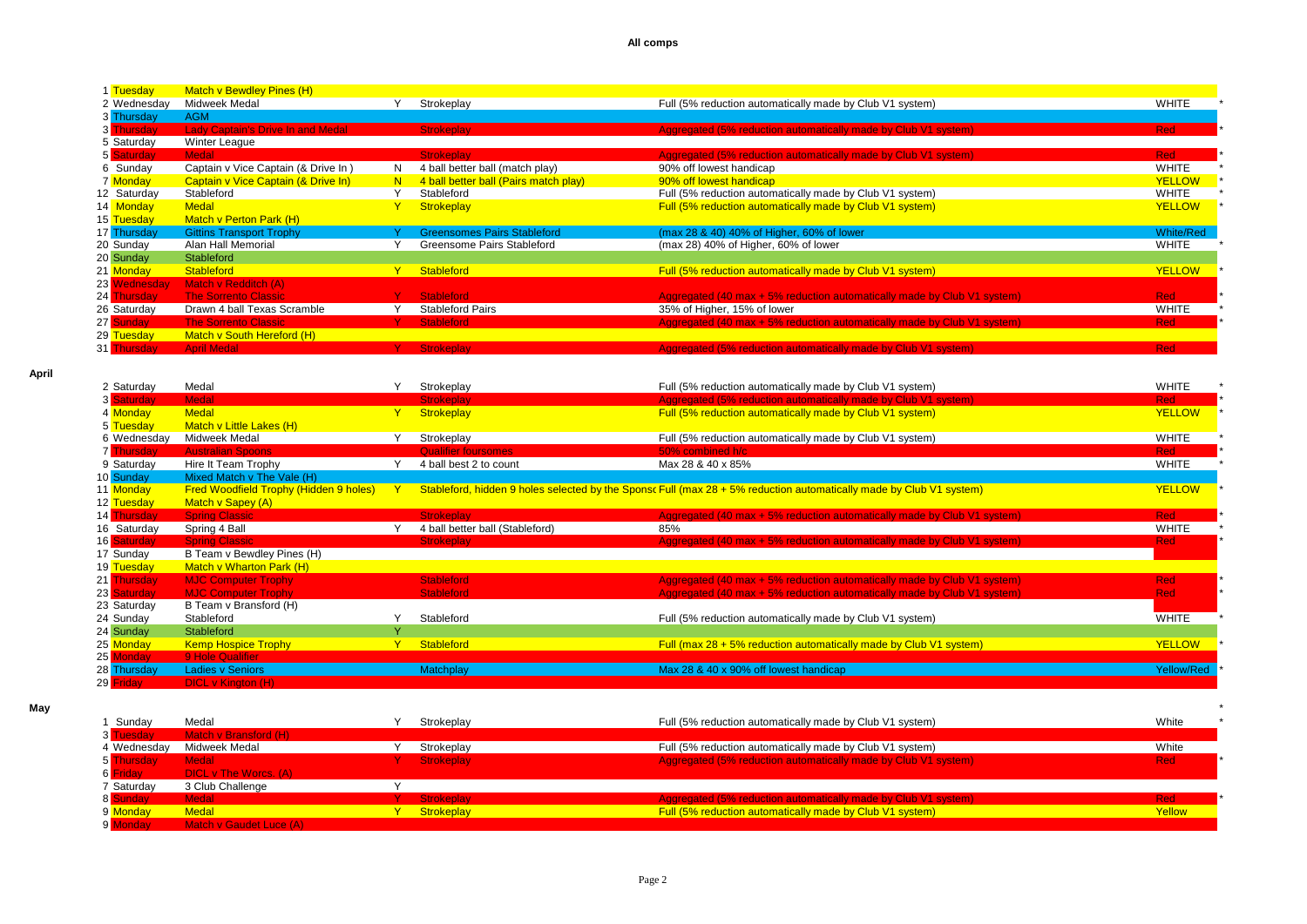| 1 Tuesday    | Match v Bewdley Pines (H)                |                                       |                                                                         |                  |
|--------------|------------------------------------------|---------------------------------------|-------------------------------------------------------------------------|------------------|
| 2 Wednesday  | Midweek Medal                            | Strokeplay                            | Full (5% reduction automatically made by Club V1 system)                | <b>WHITE</b>     |
| 3 Thursday   | <b>AGM</b>                               |                                       |                                                                         |                  |
| 3 Thursday   | <b>Lady Captain's Drive In and Medal</b> | <b>Strokeplay</b>                     | Aggregated (5% reduction automatically made by Club V1 system)          | <b>Red</b>       |
| 5 Saturday   | Winter League                            |                                       |                                                                         |                  |
| 5 Saturday   | Medal                                    | Strokeplay                            | Aggregated (5% reduction automatically made by Club V1 system)          | <b>Red</b>       |
| 6 Sunday     | Captain v Vice Captain (& Drive In)      | 4 ball better ball (match play)       | 90% off lowest handicap                                                 | <b>WHITE</b>     |
| 7 Monday     | Captain v Vice Captain (& Drive In)      | 4 ball better ball (Pairs match play) | 90% off lowest handicap                                                 | <b>YELLOW</b>    |
| 12 Saturday  | Stableford                               | Stableford                            | Full (5% reduction automatically made by Club V1 system)                | WHITE            |
| 14 Monday    | <b>Medal</b>                             | <b>Strokeplay</b>                     | Full (5% reduction automatically made by Club V1 system)                | <b>YELLOW</b>    |
| 15 Tuesday   | Match v Perton Park (H)                  |                                       |                                                                         |                  |
| 17 Thursday  | <b>Gittins Transport Trophy</b>          | <b>Greensomes Pairs Stableford</b>    | (max 28 & 40) 40% of Higher, 60% of lower                               | <b>White/Red</b> |
| 20 Sunday    | Alan Hall Memorial                       | Greensome Pairs Stableford            | (max 28) 40% of Higher, 60% of lower                                    | WHITE            |
| 20 Sunday    | Stableford                               |                                       |                                                                         |                  |
| 21 Monday    | Stableford                               | <b>Stableford</b>                     | Full (5% reduction automatically made by Club V1 system)                | <b>YELLOW</b>    |
| 23 Wednesday | Match v Redditch (A)                     |                                       |                                                                         |                  |
| 24 Thursday  | <b>The Sorrento Classic</b>              | <b>Stableford</b>                     | Aggregated (40 max + 5% reduction automatically made by Club V1 system) | <b>Red</b>       |
| 26 Saturday  | Drawn 4 ball Texas Scramble              | <b>Stableford Pairs</b>               | 35% of Higher, 15% of lower                                             | <b>WHITE</b>     |
| 27 Sunday    | <b>The Sorrento Classic</b>              | <b>Stableford</b>                     | Aggregated (40 max + 5% reduction automatically made by Club V1 system) | <b>Red</b>       |
| 29 Tuesday   | Match v South Hereford (H)               |                                       |                                                                         |                  |
| 31 Thursday  | <b>April Medal</b>                       | <b>Strokeplay</b>                     | Aggregated (5% reduction automatically made by Club V1 system)          | <b>Red</b>       |

**April**

| 2 Saturday        | Medal                                         | Strokeplay                      | Full (5% reduction automatically made by Club V1 system)                                                            | <b>WHITE</b>  |  |
|-------------------|-----------------------------------------------|---------------------------------|---------------------------------------------------------------------------------------------------------------------|---------------|--|
| 3 Saturday        | <b>Medal</b>                                  | <b>Strokeplay</b>               | Aggregated (5% reduction automatically made by Club V1 system)                                                      | <b>Red</b>    |  |
| 4 Monday          | <b>Medal</b>                                  | Strokeplay                      | Full (5% reduction automatically made by Club V1 system)                                                            | <b>YELLOW</b> |  |
| 5 Tuesday         | Match v Little Lakes (H)                      |                                 |                                                                                                                     |               |  |
| 6 Wednesday       | Midweek Medal                                 | Strokeplay                      | Full (5% reduction automatically made by Club V1 system)                                                            | <b>WHITE</b>  |  |
| <b>7</b> Thursday | <b>Australian Spoons</b>                      | Qualifier foursomes             | 50% combined h/c                                                                                                    | Red           |  |
| 9 Saturday        | Hire It Team Trophy                           | 4 ball best 2 to count          | Max 28 & 40 x 85%                                                                                                   | <b>WHITE</b>  |  |
| 10 Sunday         | Mixed Match v The Vale (H)                    |                                 |                                                                                                                     |               |  |
| 11 Monday         | <b>Fred Woodfield Trophy (Hidden 9 holes)</b> |                                 | Stableford, hidden 9 holes selected by the Sponsc Full (max 28 + 5% reduction automatically made by Club V1 system) | <b>YELLOW</b> |  |
| 12 Tuesday        | Match v Sapey (A)                             |                                 |                                                                                                                     |               |  |
| 14 Thursday       | <b>Spring Classic</b>                         | <b>Strokeplay</b>               | Aggregated (40 max + 5% reduction automatically made by Club V1 system)                                             | <b>Red</b>    |  |
| 16 Saturday       | Spring 4 Ball                                 | 4 ball better ball (Stableford) | 85%                                                                                                                 | <b>WHITE</b>  |  |
| 16 Saturday       | <b>Spring Classic</b>                         | <b>Strokeplay</b>               | Aggregated (40 max + 5% reduction automatically made by Club V1 system)                                             | <b>Red</b>    |  |
| 17 Sunday         | B Team v Bewdley Pines (H)                    |                                 |                                                                                                                     |               |  |
| 19 Tuesday        | Match v Wharton Park (H)                      |                                 |                                                                                                                     |               |  |
| 21 Thursday       | <b>MJC Computer Trophy</b>                    | <b>Stableford</b>               | Aggregated (40 max + 5% reduction automatically made by Club V1 system)                                             | <b>Red</b>    |  |
| 23 Saturday       | <b>MJC Computer Trophy</b>                    | <b>Stableford</b>               | Aggregated (40 max + 5% reduction automatically made by Club V1 system)                                             | <b>Red</b>    |  |
| 23 Saturday       | B Team v Bransford (H)                        |                                 |                                                                                                                     |               |  |
| 24 Sunday         | Stableford                                    | Stableford                      | Full (5% reduction automatically made by Club V1 system)                                                            | <b>WHITE</b>  |  |
| 24 Sunday         | Stableford                                    |                                 |                                                                                                                     |               |  |
| 25 Monday         | <b>Kemp Hospice Trophy</b>                    | Stableford                      | Full (max $28 + 5\%$ reduction automatically made by Club V1 system)                                                | <b>YELLOW</b> |  |
| 25 Monday         | 9 Hole Qualifier                              |                                 |                                                                                                                     |               |  |
| 28 Thursday       | <b>Ladies v Seniors</b>                       | Matchplay                       | Max 28 & 40 x 90% off lowest handicap                                                                               | Yellow/Red    |  |
| 29 Friday         | DICL v Kington (H)                            |                                 |                                                                                                                     |               |  |

| May |                       |                         |              |                                                                 |            |
|-----|-----------------------|-------------------------|--------------|-----------------------------------------------------------------|------------|
|     | Sunday                | Medal                   | Strokeplay   | Full (5% reduction automatically made by Club V1 system)        | White      |
|     | 3 Tuesdav             | Match v Bransford (H)   |              |                                                                 |            |
|     | 4 Wednesdav           | Midweek Medal           | Strokeplay   | Full (5% reduction automatically made by Club V1 system)        | White      |
|     | 5 Thursday            | <b>Medal</b>            | Y Strokeplay | Aggregated (5% reduction automatically made by Club V1 system)  | <b>Red</b> |
|     | 6 <mark>Fridav</mark> | DICL v The Worcs. (A)   |              |                                                                 |            |
|     | 7 Saturday            | 3 Club Challenge        |              |                                                                 |            |
|     | 8 Sunday              | Medal /                 | Y Strokeplay | Aggregated (5% reduction automatically made by Club V1 system), | Red:       |
|     | 9 Monday              | <b>Medal</b>            | Y Strokeplay | Full (5% reduction automatically made by Club V1 system)        | Yellow     |
|     | 9 Monday              | Match y Gaudet Luce (A) |              |                                                                 |            |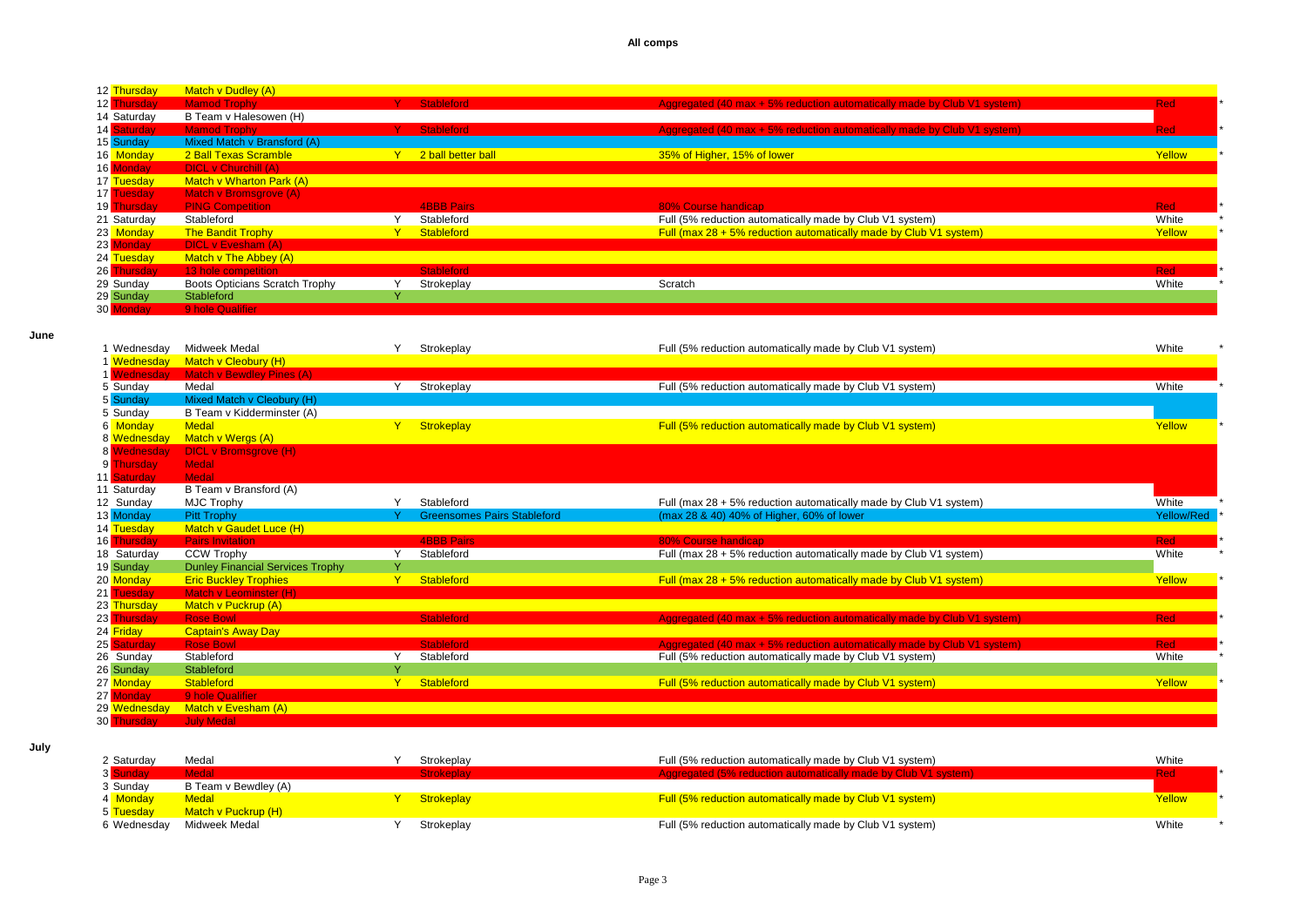| 12 Thursday | Match v Dudley (A)              |                    |                                                                         |            |
|-------------|---------------------------------|--------------------|-------------------------------------------------------------------------|------------|
| 12 Thursday | <b>Mamod Trophy</b>             | <b>Stableford</b>  | Aggregated (40 max + 5% reduction automatically made by Club V1 system) | <b>Red</b> |
| 14 Saturday | B Team v Halesowen (H)          |                    |                                                                         |            |
| 14 Saturday | <b>Mamod Trophy</b>             | <b>Stableford</b>  | Aggregated (40 max + 5% reduction automatically made by Club V1 system) | <b>Red</b> |
| 15 Sunday   | Mixed Match v Bransford (A)     |                    |                                                                         |            |
| 16 Monday   | 2 Ball Texas Scramble           | 2 ball better ball | 35% of Higher, 15% of lower                                             | Yellow     |
| 16 Monday   | <b>DICL v Churchill (A)</b>     |                    |                                                                         |            |
| 17 Tuesday  | <b>Match v Wharton Park (A)</b> |                    |                                                                         |            |
| 17 Tuesday  | Match v Bromsgrove (A)          |                    |                                                                         |            |
| 19 Thursday | <b>PING Competition</b>         | <b>4BBB Pairs</b>  | 80% Course handicap                                                     | <b>Red</b> |
| 21 Saturday | Stableford                      | Stableford         | Full (5% reduction automatically made by Club V1 system)                | White      |
| 23 Monday   | <b>The Bandit Trophy</b>        | Stableford         | Full (max $28 + 5\%$ reduction automatically made by Club V1 system)    | Yellow     |
| 23 Monday   | DICL v Evesham (A)              |                    |                                                                         |            |
| 24 Tuesday  | Match v The Abbey (A)           |                    |                                                                         |            |
| 26 Thursday | 13 hole competition             | <b>Stableford</b>  |                                                                         | <b>Red</b> |
| 29 Sunday   | Boots Opticians Scratch Trophy  | Strokeplay         | Scratch                                                                 | White      |
| 29 Sunday   | Stableford                      |                    |                                                                         |            |
| 30 Monday   | 9 hole Qualifier                |                    |                                                                         |            |

**June**

| 1 Wednesday     | Midweek Medal                           |              | Strokeplay                         | Full (5% reduction automatically made by Club V1 system)                | White      |
|-----------------|-----------------------------------------|--------------|------------------------------------|-------------------------------------------------------------------------|------------|
| 1 Wednesday     | Match v Cleobury (H)                    |              |                                    |                                                                         |            |
| 1 Wednesday     | <b>Match v Bewdley Pines (A)</b>        |              |                                    |                                                                         |            |
| 5 Sunday        | Medal                                   |              | Strokeplay                         | Full (5% reduction automatically made by Club V1 system)                | White      |
| 5 Sunday        | Mixed Match v Cleobury (H)              |              |                                    |                                                                         |            |
| 5 Sunday        | B Team v Kidderminster (A)              |              |                                    |                                                                         |            |
| 6 Monday        | <b>Medal</b>                            |              | Strokeplay                         | Full (5% reduction automatically made by Club V1 system)                | Yellow     |
| 8 Wednesday     | Match v Wergs (A)                       |              |                                    |                                                                         |            |
| 8 Wednesday     | DICL v Bromsgrove (H)                   |              |                                    |                                                                         |            |
| <b>Thursdav</b> | <b>Medal</b>                            |              |                                    |                                                                         |            |
| 11 Saturday     | Medal                                   |              |                                    |                                                                         |            |
| 11 Saturday     | B Team v Bransford (A)                  |              |                                    |                                                                         |            |
| 12 Sunday       | <b>MJC Trophy</b>                       |              | Stableford                         | Full (max 28 + 5% reduction automatically made by Club V1 system)       | White      |
| 13 Monday       | <b>Pitt Trophy</b>                      |              | <b>Greensomes Pairs Stableford</b> | (max 28 & 40) 40% of Higher, 60% of lower                               | Yellow/Red |
| 14 Tuesday      | Match v Gaudet Luce (H)                 |              |                                    |                                                                         |            |
| 16 Thursday     | <b>Pairs Invitation</b>                 |              | <b>4BBB Pairs</b>                  | 80% Course handicap                                                     | <b>Red</b> |
| 18 Saturday     | CCW Trophy                              | $\lambda$    | Stableford                         | Full (max 28 + 5% reduction automatically made by Club V1 system)       | White      |
| 19 Sunday       | <b>Dunley Financial Services Trophy</b> | $\mathbf{v}$ |                                    |                                                                         |            |
| 20 Monday       | <b>Eric Buckley Trophies</b>            | $\mathbf v$  | Stableford                         | Full (max $28 + 5\%$ reduction automatically made by Club V1 system)    | Yellow     |
| 21 Tuesday      | <b>Match v Leominster (H)</b>           |              |                                    |                                                                         |            |
| 23 Thursday     | Match v Puckrup (A)                     |              |                                    |                                                                         |            |
| 23 Thursday     | <b>Rose Bowl</b>                        |              | <b>Stableford</b>                  | Aggregated (40 max + 5% reduction automatically made by Club V1 system) | <b>Red</b> |
| 24 Friday       | <b>Captain's Away Day</b>               |              |                                    |                                                                         |            |
| 25 Saturday     | <b>Rose Bowl</b>                        |              | <b>Stableford</b>                  | Aggregated (40 max + 5% reduction automatically made by Club V1 system) | <b>Red</b> |
| 26 Sunday       | Stableford                              |              | Stableford                         | Full (5% reduction automatically made by Club V1 system)                | White      |
| 26 Sunday       | Stableford                              | $\vee$       |                                    |                                                                         |            |
| 27 Monday       | <b>Stableford</b>                       |              | <b>Stableford</b>                  | Full (5% reduction automatically made by Club V1 system)                | Yellow     |
| 27 Monday       | 9 hole Qualifier                        |              |                                    |                                                                         |            |
| 29 Wednesday    | Match v Evesham (A)                     |              |                                    |                                                                         |            |
| 30 Thursday     | <b>July Medal</b>                       |              |                                    |                                                                         |            |

**July**

| 2 Saturday  | Medal                | Strokeplay | Full (5% reduction automatically made by Club V1 system)          | White  |
|-------------|----------------------|------------|-------------------------------------------------------------------|--------|
|             | Vledal               |            | agreemented (E.V. reduction outemptically made by Club V1 evetem) | Red    |
| 3 Sunday    | B Team v Bewdley (A) |            |                                                                   |        |
| 4 Monday    | <b>Medal</b>         | Strokeplay | Full (5% reduction automatically made by Club V1 system)          | Yellow |
| 5 Tuesday   | Match v Puckrup (H)  |            |                                                                   |        |
| 6 Wednesdav | Midweek Medal        | Strokeplay | Full (5% reduction automatically made by Club V1 system)          | White  |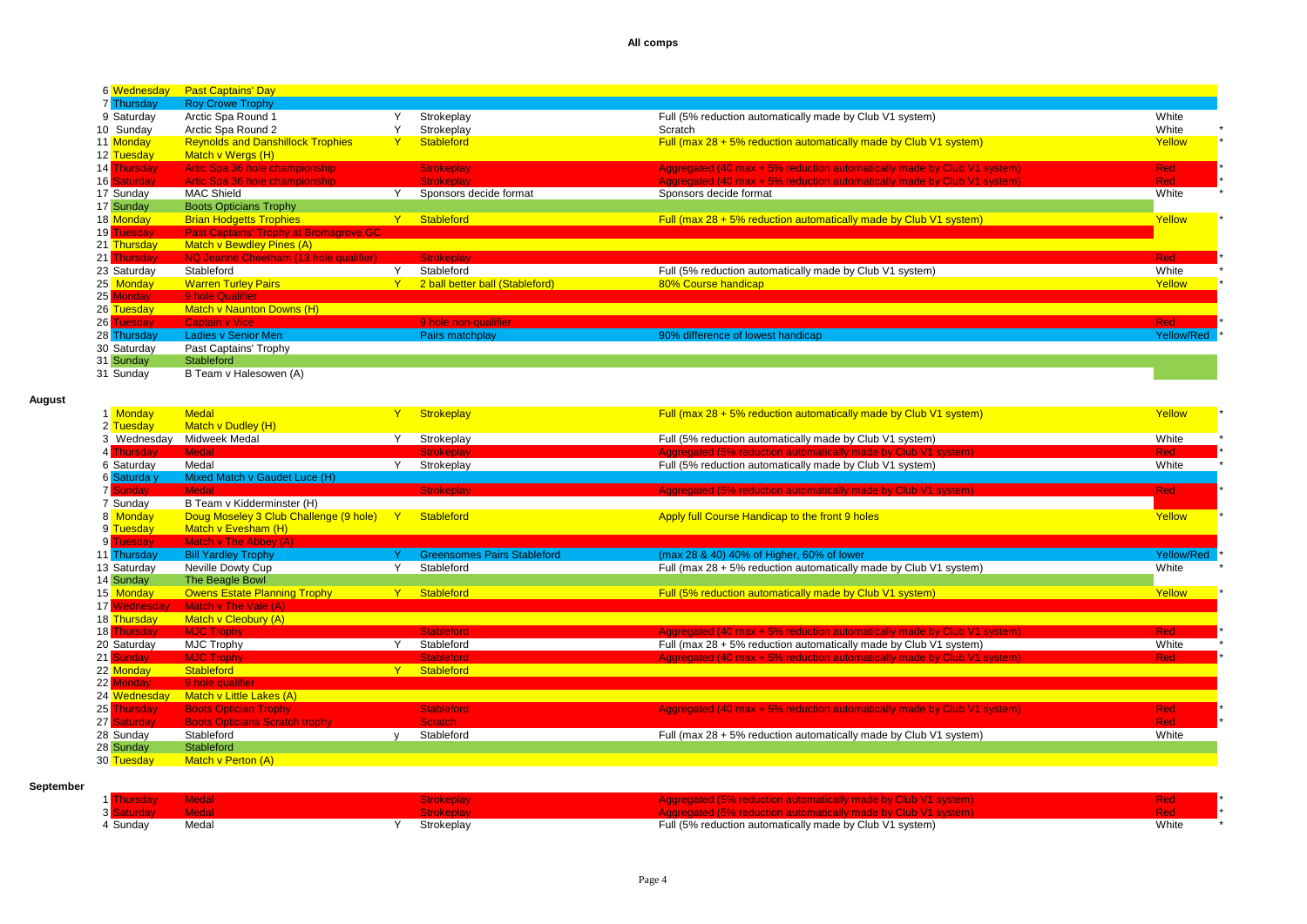| 6 Wednesday | <b>Past Captains' Day</b>                     |              |                                 |                                                                         |                   |
|-------------|-----------------------------------------------|--------------|---------------------------------|-------------------------------------------------------------------------|-------------------|
| 7 Thursday  | <b>Roy Crowe Trophy</b>                       |              |                                 |                                                                         |                   |
| 9 Saturday  | Arctic Spa Round 1                            |              | Strokeplay                      | Full (5% reduction automatically made by Club V1 system)                | White             |
| 10 Sunday   | Arctic Spa Round 2                            |              | Strokeplay                      | Scratch                                                                 | White             |
| 11 Monday   | <b>Reynolds and Danshillock Trophies</b>      | $\mathbf{Y}$ | Stableford                      | Full (max $28 + 5\%$ reduction automatically made by Club V1 system)    | Yellow            |
| 12 Tuesday  | Match v Wergs (H)                             |              |                                 |                                                                         |                   |
| 14 Thursday | Artic Spa 36 hole championship                |              | <b>Strokeplay</b>               | Aggregated (40 max + 5% reduction automatically made by Club V1 system) | <b>Red</b>        |
| 16 Saturday | Artic Spa 36 hole championship                |              | <b>Strokeplay</b>               | Aggregated (40 max + 5% reduction automatically made by Club V1 system) | <b>Red</b>        |
| 17 Sunday   | <b>MAC Shield</b>                             |              | Sponsors decide format          | Sponsors decide format                                                  | White             |
| 17 Sunday   | <b>Boots Opticians Trophy</b>                 |              |                                 |                                                                         |                   |
| 18 Monday   | <b>Brian Hodgetts Trophies</b>                |              | Stableford                      | Full (max $28 + 5\%$ reduction automatically made by Club V1 system)    | Yellow            |
| 19 Tuesday  | <b>Past Captains' Trophy at Bromsgrove GC</b> |              |                                 |                                                                         |                   |
| 21 Thursday | <b>Match v Bewdley Pines (A)</b>              |              |                                 |                                                                         |                   |
| 21 Thursday | NQ Jeanne Cheetham (13 hole qualifier)        |              | Strokeplay                      |                                                                         | <b>Red</b>        |
| 23 Saturday | Stableford                                    |              | Stableford                      | Full (5% reduction automatically made by Club V1 system)                | White             |
| 25 Monday   | <b>Warren Turley Pairs</b>                    |              | 2 ball better ball (Stableford) | 80% Course handicap                                                     | Yellow            |
| 25 Monday   | 9 hole Qualifier                              |              |                                 |                                                                         |                   |
| 26 Tuesday  | <b>Match v Naunton Downs (H)</b>              |              |                                 |                                                                         |                   |
| 26 Tuesday  | Captain v Vice                                |              | 9 hole non-qualifier            |                                                                         | <b>Red</b>        |
| 28 Thursday | <b>Ladies v Senior Men</b>                    |              | Pairs matchplay                 | 90% difference of lowest handicap                                       | <b>Yellow/Red</b> |
| 30 Saturday | Past Captains' Trophy                         |              |                                 |                                                                         |                   |
| 31 Sunday   | Stableford                                    |              |                                 |                                                                         |                   |
| 31 Sunday   | B Team v Halesowen (A)                        |              |                                 |                                                                         |                   |

# **August**

| 1 Monday        | <b>Medal</b>                           |              | <b>Strokeplay</b>                  | Full (max $28 + 5\%$ reduction automatically made by Club V1 system)    | Yellow     |
|-----------------|----------------------------------------|--------------|------------------------------------|-------------------------------------------------------------------------|------------|
| 2 Tuesday       | Match v Dudley (H)                     |              |                                    |                                                                         |            |
| 3 Wednesday     | Midweek Medal                          | $\checkmark$ | Strokeplay                         | Full (5% reduction automatically made by Club V1 system)                | White      |
| 4 Thursday      | <b>Medal</b>                           |              | <b>Strokeplay</b>                  | Aggregated (5% reduction automatically made by Club V1 system)          | <b>Red</b> |
| 6 Saturday      | Medal                                  |              | Strokeplay                         | Full (5% reduction automatically made by Club V1 system)                | White      |
| 6 Saturda y     | Mixed Match v Gaudet Luce (H)          |              |                                    |                                                                         |            |
| <b>7</b> Sunday | <b>Medal</b>                           |              | <b>Strokeplay</b>                  | Aggregated (5% reduction automatically made by Club V1 system)          | <b>Red</b> |
| 7 Sunday        | B Team v Kidderminster (H)             |              |                                    |                                                                         |            |
| 8 Monday        | Doug Moseley 3 Club Challenge (9 hole) | $\mathbf{Y}$ | <b>Stableford</b>                  | Apply full Course Handicap to the front 9 holes                         | Yellow     |
| 9 Tuesday       | Match v Evesham (H)                    |              |                                    |                                                                         |            |
| 9 Tuesday       | Match v The Abbey (A)                  |              |                                    |                                                                         |            |
| 11 Thursday     | <b>Bill Yardley Trophy</b>             |              | <b>Greensomes Pairs Stableford</b> | (max 28 & 40) 40% of Higher, 60% of lower                               | Yellow/Red |
| 13 Saturday     | Neville Dowty Cup                      |              | Stableford                         | Full (max $28 + 5\%$ reduction automatically made by Club V1 system)    | White      |
| 14 Sunday       | The Beagle Bowl                        |              |                                    |                                                                         |            |
| 15 Monday       | <b>Owens Estate Planning Trophy</b>    | Y            | Stableford                         | Full (5% reduction automatically made by Club V1 system)                | Yellow     |
| 17 Wednesday    | Match v The Vale (A)                   |              |                                    |                                                                         |            |
| 18 Thursday     | Match v Cleobury (A)                   |              |                                    |                                                                         |            |
| 18 Thursday     | <b>MJC Trophy</b>                      |              | <b>Stableford</b>                  | Aggregated (40 max + 5% reduction automatically made by Club V1 system) | Red        |
| 20 Saturday     | <b>MJC Trophy</b>                      |              | Stableford                         | Full (max 28 + 5% reduction automatically made by Club V1 system)       | White      |
| 21 Sunday       | <b>MJC Trophy</b>                      |              | <b>Stableford</b>                  | Aggregated (40 max + 5% reduction automatically made by Club V1 system) | <b>Red</b> |
| 22 Monday       | <b>Stableford</b>                      | Y            | Stableford                         |                                                                         |            |
| 22 Monday       | 9 hole qualifier                       |              |                                    |                                                                         |            |
| 24 Wednesday    | Match v Little Lakes (A)               |              |                                    |                                                                         |            |
| 25 Thursday     | <b>Boots Optician Trophy</b>           |              | <b>Stableford</b>                  | Aggregated (40 max + 5% reduction automatically made by Club V1 system) | <b>Red</b> |
| 27 Saturday     | <b>Boots Opticians Scratch trophy</b>  |              | Scratch                            |                                                                         | <b>Red</b> |
| 28 Sunday       | Stableford                             |              | Stableford                         | Full (max $28 + 5\%$ reduction automatically made by Club V1 system)    | White      |
| 28 Sunday       | Stableford                             |              |                                    |                                                                         |            |
| 30 Tuesday      | Match v Perton (A)                     |              |                                    |                                                                         |            |

## **September**

|        |       |            | $50/$ reduction outamotically mede by Club $1/4$ overage              |       |
|--------|-------|------------|-----------------------------------------------------------------------|-------|
|        |       |            | $\frac{1}{2}$ (E0) reduction outamatically made by Club $1/4$ ovatamb |       |
| Sunday | Medal | Strokeplay | Full (5% reduction automatically made by Club V1 system)              | White |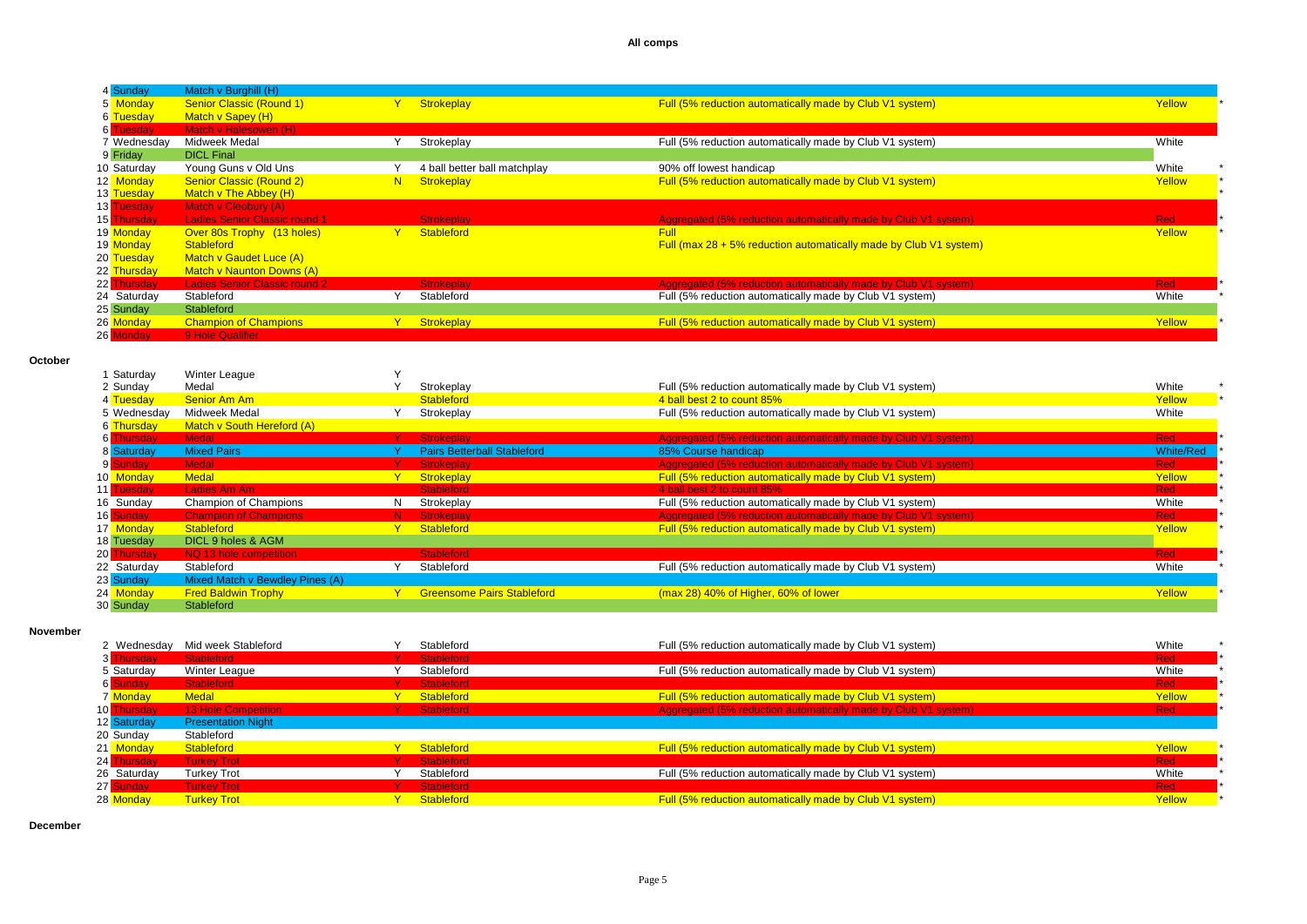| 4 Sunday    | Match v Burghill (H)                 |    |                              |                                                                      |            |
|-------------|--------------------------------------|----|------------------------------|----------------------------------------------------------------------|------------|
| 5 Monday    | <b>Senior Classic (Round 1)</b>      |    | <b>Strokeplay</b>            | Full (5% reduction automatically made by Club V1 system)             | Yellow     |
| 6 Tuesday   | Match v Sapey (H)                    |    |                              |                                                                      |            |
| 6 Tuesday   | Match v Halesowen (H)                |    |                              |                                                                      |            |
| 7 Wednesday | Midweek Medal                        |    | Strokeplay                   | Full (5% reduction automatically made by Club V1 system)             | White      |
| 9 Friday    | <b>DICL Final</b>                    |    |                              |                                                                      |            |
| 10 Saturday | Young Guns v Old Uns                 |    | 4 ball better ball matchplay | 90% off lowest handicap                                              | White      |
| 12 Monday   | <b>Senior Classic (Round 2)</b>      | N. | Strokeplay                   | Full (5% reduction automatically made by Club V1 system)             | Yellow     |
| 13 Tuesday  | Match v The Abbey (H)                |    |                              |                                                                      |            |
| 13 Tuesday  | Match v Cleobury (A)                 |    |                              |                                                                      |            |
| 15 Thursday | <b>Ladies Senior Classic round 1</b> |    | <b>Strokeplay</b>            | Aggregated (5% reduction automatically made by Club V1 system)       | <b>Red</b> |
| 19 Monday   | Over 80s Trophy (13 holes)           | Y. | Stableford                   | <b>Full</b>                                                          | Yellow     |
| 19 Monday   | <b>Stableford</b>                    |    |                              | Full (max $28 + 5\%$ reduction automatically made by Club V1 system) |            |
| 20 Tuesday  | Match v Gaudet Luce (A)              |    |                              |                                                                      |            |
| 22 Thursday | <b>Match v Naunton Downs (A)</b>     |    |                              |                                                                      |            |
| 22 Thursday | <b>Ladies Senior Classic round 2</b> |    | <b>Strokeplay</b>            | Aggregated (5% reduction automatically made by Club V1 system)       | <b>Red</b> |
| 24 Saturday | Stableford                           |    | Stableford                   | Full (5% reduction automatically made by Club V1 system)             | White      |
| 25 Sunday   | Stableford                           |    |                              |                                                                      |            |
| 26 Monday   | <b>Champion of Champions</b>         | Y. | Strokeplay                   | Full (5% reduction automatically made by Club V1 system)             | Yellow     |
| 26 Monday   | 9 Hole Qualifier                     |    |                              |                                                                      |            |

**October** 

| Saturday    | Winter League                   |    |                                    |                                                                |                  |
|-------------|---------------------------------|----|------------------------------------|----------------------------------------------------------------|------------------|
| 2 Sunday    | Medal                           |    | Strokeplay                         | Full (5% reduction automatically made by Club V1 system)       | White            |
| 4 Tuesday   | Senior Am Am                    |    | <b>Stableford</b>                  | 4 ball best 2 to count 85%                                     | Yellow           |
| 5 Wednesday | Midweek Medal                   |    | Strokeplay                         | Full (5% reduction automatically made by Club V1 system)       | White            |
| 6 Thursday  | Match v South Hereford (A)      |    |                                    |                                                                |                  |
| 6 Thursday  | <b>Medal</b>                    |    | Strokeplay                         | Aggregated (5% reduction automatically made by Club V1 system) | <b>Red</b>       |
| 8 Saturday  | <b>Mixed Pairs</b>              |    | <b>Pairs Betterball Stableford</b> | 85% Course handicap                                            | <b>White/Red</b> |
| 9 Sunday    | Medal                           |    | <b>Strokeplay</b>                  | Aggregated (5% reduction automatically made by Club V1 system) | <b>Red</b>       |
| 10 Monday   | <b>Medal</b>                    |    | Strokeplay                         | Full (5% reduction automatically made by Club V1 system)       | Yellow           |
| 11 Tuesday  | Ladies Am Am                    |    | <b>Stableford</b>                  | 4 ball best 2 to count 85%                                     | <b>Red</b>       |
| 16 Sunday   | Champion of Champions           | N. | Strokeplay                         | Full (5% reduction automatically made by Club V1 system)       | White            |
| 16 Sunday   | <b>Champion of Champions</b>    | N. | Strokeplay                         | Aggregated (5% reduction automatically made by Club V1 system) | <b>Red</b>       |
| 17 Monday   | Stableford                      |    | Stableford                         | Full (5% reduction automatically made by Club V1 system)       | Yellow           |
| 18 Tuesday  | DICL 9 holes & AGM              |    |                                    |                                                                |                  |
| 20 Thursday | NQ 13 hole competition          |    | <b>Stableford</b>                  |                                                                | <b>Red</b>       |
| 22 Saturday | Stableford                      |    | Stableford                         | Full (5% reduction automatically made by Club V1 system)       | White            |
| 23 Sunday   | Mixed Match v Bewdley Pines (A) |    |                                    |                                                                |                  |
| 24 Monday   | <b>Fred Baldwin Trophy</b>      |    | <b>Greensome Pairs Stableford</b>  | (max 28) 40% of Higher, 60% of lower                           | Yellow           |
| 30 Sunday   | Stableford                      |    |                                    |                                                                |                  |

#### **November**

| 2 Wednesday | Mid week Stableford        | Stableford | Full (5% reduction automatically made by Club V1 system)       | White      |  |
|-------------|----------------------------|------------|----------------------------------------------------------------|------------|--|
| 3 Thursday  | Stableford                 | Stableford |                                                                | <b>Red</b> |  |
| 5 Saturday  | Winter League              | Stableford | Full (5% reduction automatically made by Club V1 system)       | White      |  |
| 6 Sunday    | <b>Stableford</b>          | Stableford |                                                                | <b>Red</b> |  |
| 7 Monday    | <b>Medal</b>               | Stableford | Full (5% reduction automatically made by Club V1 system)       | Yellow     |  |
| 10 Thursday | <b>13 Hole Competition</b> | Stableford | Aggregated (5% reduction automatically made by Club V1 system) | <b>Red</b> |  |
| 12 Saturday | <b>Presentation Night</b>  |            |                                                                |            |  |
| 20 Sunday   | Stableford                 |            |                                                                |            |  |
| 21 Monday   | Stableford                 | Stableford | Full (5% reduction automatically made by Club V1 system)       | Yellow     |  |
| 24 Thursday | <b>Turkey Trot</b>         | Stableford |                                                                | <b>Red</b> |  |
| 26 Saturday | <b>Turkey Trot</b>         | Stableford | Full (5% reduction automatically made by Club V1 system)       | White      |  |
| 27 Sunday   | <b>Turkey Trot</b>         | Stableford |                                                                | <b>Red</b> |  |
| 28 Monday   | <b>Turkey Trot</b>         | Stableford | Full (5% reduction automatically made by Club V1 system)       | Yellow     |  |

**December**